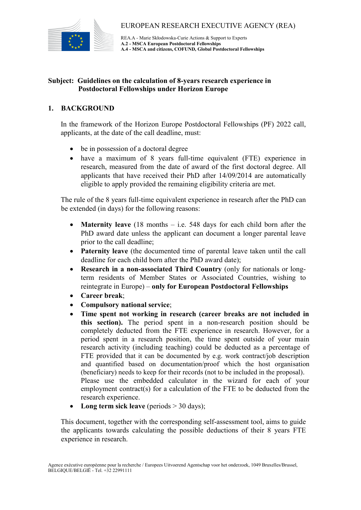

REA.A - Marie Skłodowska-Curie Actions & Support to Experts **A.2 - MSCA European Postdoctoral Fellowships A.4 - MSCA and citizens, COFUND, Global Postdoctoral Fellowships**

### **Subject: Guidelines on the calculation of 8-years research experience in Postdoctoral Fellowships under Horizon Europe**

## **1. BACKGROUND**

In the framework of the Horizon Europe Postdoctoral Fellowships (PF) 2022 call, applicants, at the date of the call deadline, must:

- be in possession of a doctoral degree
- have a maximum of 8 years full-time equivalent (FTE) experience in research, measured from the date of award of the first doctoral degree. All applicants that have received their PhD after 14/09/2014 are automatically eligible to apply provided the remaining eligibility criteria are met.

The rule of the 8 years full-time equivalent experience in research after the PhD can be extended (in days) for the following reasons:

- **Maternity leave** (18 months i.e. 548 days for each child born after the PhD award date unless the applicant can document a longer parental leave prior to the call deadline;
- **Paternity leave** (the documented time of parental leave taken until the call deadline for each child born after the PhD award date);
- **Research in a non-associated Third Country** (only for nationals or longterm residents of Member States or Associated Countries, wishing to reintegrate in Europe) – **only for European Postdoctoral Fellowships**
- **Career break**;
- **Compulsory national service**;
- **Time spent not working in research (career breaks are not included in this section).** The period spent in a non-research position should be completely deducted from the FTE experience in research. However, for a period spent in a research position, the time spent outside of your main research activity (including teaching) could be deducted as a percentage of FTE provided that it can be documented by e.g. work contract/job description and quantified based on documentation/proof which the host organisation (beneficiary) needs to keep for their records (not to be included in the proposal). Please use the embedded calculator in the wizard for each of your employment contract(s) for a calculation of the FTE to be deducted from the research experience.
- Long term sick leave (periods > 30 days);

This document, together with the corresponding self-assessment tool, aims to guide the applicants towards calculating the possible deductions of their 8 years FTE experience in research.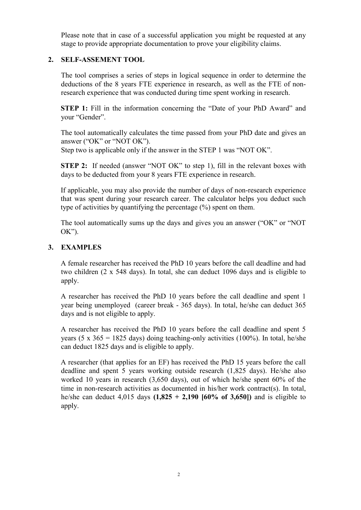Please note that in case of a successful application you might be requested at any stage to provide appropriate documentation to prove your eligibility claims.

# **2. SELF-ASSEMENT TOOL**

The tool comprises a series of steps in logical sequence in order to determine the deductions of the 8 years FTE experience in research, as well as the FTE of nonresearch experience that was conducted during time spent working in research.

**STEP 1:** Fill in the information concerning the "Date of your PhD Award" and your "Gender".

The tool automatically calculates the time passed from your PhD date and gives an answer ("OK" or "NOT OK").

Step two is applicable only if the answer in the STEP 1 was "NOT OK".

**STEP 2:** If needed (answer "NOT OK" to step 1), fill in the relevant boxes with days to be deducted from your 8 years FTE experience in research.

If applicable, you may also provide the number of days of non-research experience that was spent during your research career. The calculator helps you deduct such type of activities by quantifying the percentage (%) spent on them.

The tool automatically sums up the days and gives you an answer ("OK" or "NOT  $OK$ ").

## **3. EXAMPLES**

A female researcher has received the PhD 10 years before the call deadline and had two children (2 x 548 days). In total, she can deduct 1096 days and is eligible to apply.

A researcher has received the PhD 10 years before the call deadline and spent 1 year being unemployed (career break - 365 days). In total, he/she can deduct 365 days and is not eligible to apply.

A researcher has received the PhD 10 years before the call deadline and spent 5 years (5 x  $365 = 1825$  days) doing teaching-only activities (100%). In total, he/she can deduct 1825 days and is eligible to apply.

A researcher (that applies for an EF) has received the PhD 15 years before the call deadline and spent 5 years working outside research (1,825 days). He/she also worked 10 years in research (3,650 days), out of which he/she spent 60% of the time in non-research activities as documented in his/her work contract(s). In total, he/she can deduct 4,015 days **(1,825 + 2,190 [60% of 3,650])** and is eligible to apply.